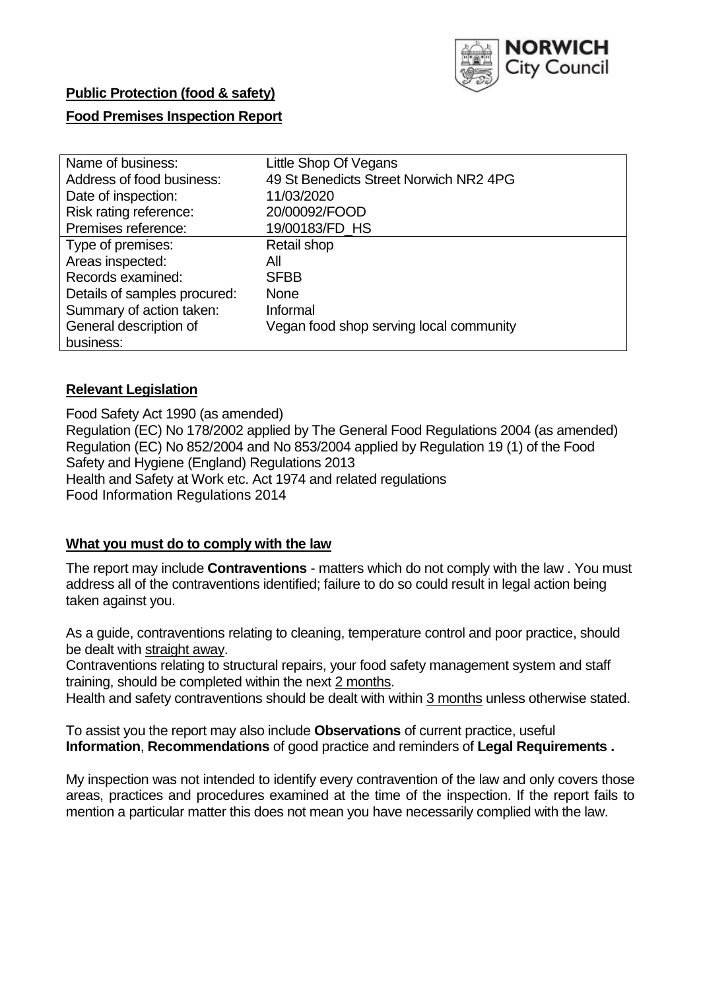

## **Public Protection (food & safety)**

### **Food Premises Inspection Report**

| Name of business:            | Little Shop Of Vegans                   |
|------------------------------|-----------------------------------------|
| Address of food business:    | 49 St Benedicts Street Norwich NR2 4PG  |
| Date of inspection:          | 11/03/2020                              |
| Risk rating reference:       | 20/00092/FOOD                           |
| Premises reference:          | 19/00183/FD_HS                          |
| Type of premises:            | Retail shop                             |
| Areas inspected:             | All                                     |
| Records examined:            | <b>SFBB</b>                             |
| Details of samples procured: | <b>None</b>                             |
| Summary of action taken:     | Informal                                |
| General description of       | Vegan food shop serving local community |
| business:                    |                                         |

#### **Relevant Legislation**

Food Safety Act 1990 (as amended) Regulation (EC) No 178/2002 applied by The General Food Regulations 2004 (as amended) Regulation (EC) No 852/2004 and No 853/2004 applied by Regulation 19 (1) of the Food Safety and Hygiene (England) Regulations 2013 Health and Safety at Work etc. Act 1974 and related regulations Food Information Regulations 2014

#### **What you must do to comply with the law**

The report may include **Contraventions** - matters which do not comply with the law . You must address all of the contraventions identified; failure to do so could result in legal action being taken against you.

As a guide, contraventions relating to cleaning, temperature control and poor practice, should be dealt with straight away.

Contraventions relating to structural repairs, your food safety management system and staff training, should be completed within the next 2 months.

Health and safety contraventions should be dealt with within 3 months unless otherwise stated.

To assist you the report may also include **Observations** of current practice, useful **Information**, **Recommendations** of good practice and reminders of **Legal Requirements .**

My inspection was not intended to identify every contravention of the law and only covers those areas, practices and procedures examined at the time of the inspection. If the report fails to mention a particular matter this does not mean you have necessarily complied with the law.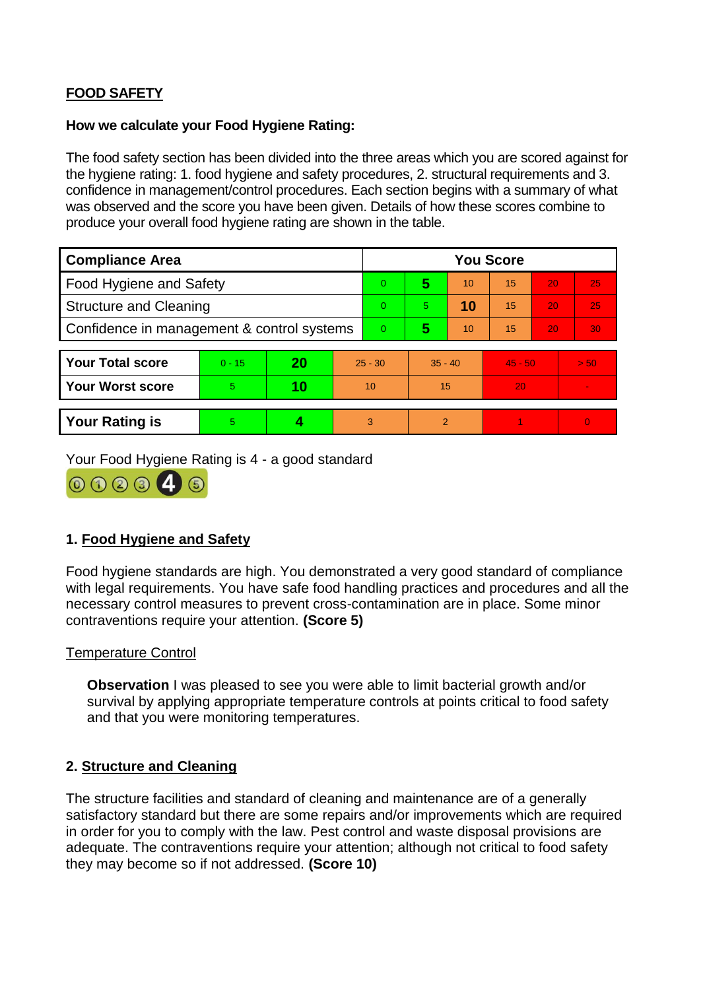# **FOOD SAFETY**

#### **How we calculate your Food Hygiene Rating:**

The food safety section has been divided into the three areas which you are scored against for the hygiene rating: 1. food hygiene and safety procedures, 2. structural requirements and 3. confidence in management/control procedures. Each section begins with a summary of what was observed and the score you have been given. Details of how these scores combine to produce your overall food hygiene rating are shown in the table.

| <b>Compliance Area</b>                     |          |    |           | <b>You Score</b> |                |    |           |    |                |  |  |
|--------------------------------------------|----------|----|-----------|------------------|----------------|----|-----------|----|----------------|--|--|
| Food Hygiene and Safety                    |          |    |           | $\overline{0}$   | 5              | 10 | 15        | 20 | 25             |  |  |
| <b>Structure and Cleaning</b>              |          |    |           | $\Omega$         | 5.             | 10 | 15        | 20 | 25             |  |  |
| Confidence in management & control systems |          |    |           | $\Omega$         | 5              | 10 | 15        | 20 | 30             |  |  |
|                                            |          |    |           |                  |                |    |           |    |                |  |  |
| <b>Your Total score</b>                    | $0 - 15$ | 20 | $25 - 30$ |                  | $35 - 40$      |    | $45 - 50$ |    | > 50           |  |  |
| <b>Your Worst score</b>                    | 5        | 10 | 10        |                  | 15             |    | 20        |    |                |  |  |
|                                            |          |    |           |                  |                |    |           |    |                |  |  |
| <b>Your Rating is</b>                      | 5        |    |           | 3                | $\overline{2}$ |    |           |    | $\overline{0}$ |  |  |

Your Food Hygiene Rating is 4 - a good standard



### **1. Food Hygiene and Safety**

Food hygiene standards are high. You demonstrated a very good standard of compliance with legal requirements. You have safe food handling practices and procedures and all the necessary control measures to prevent cross-contamination are in place. Some minor contraventions require your attention. **(Score 5)**

#### Temperature Control

**Observation** I was pleased to see you were able to limit bacterial growth and/or survival by applying appropriate temperature controls at points critical to food safety and that you were monitoring temperatures.

#### **2. Structure and Cleaning**

The structure facilities and standard of cleaning and maintenance are of a generally satisfactory standard but there are some repairs and/or improvements which are required in order for you to comply with the law. Pest control and waste disposal provisions are adequate. The contraventions require your attention; although not critical to food safety they may become so if not addressed. **(Score 10)**